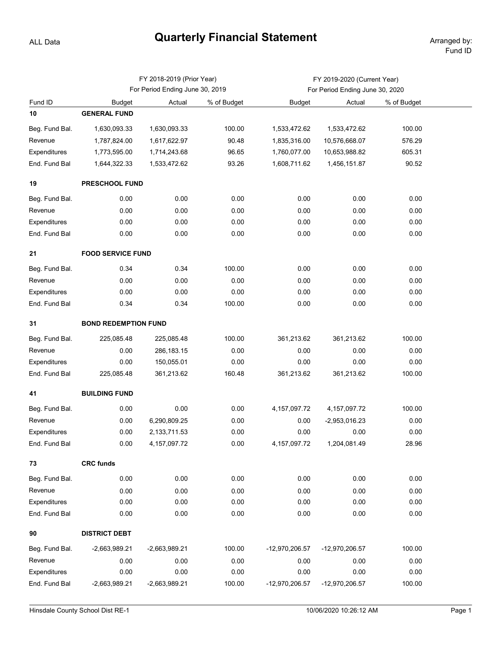## **Quarterly Financial Statement** Arranged by:

ALL Data

|                |                             | FY 2018-2019 (Prior Year)       |             | FY 2019-2020 (Current Year)     |                 |             |  |  |  |  |  |
|----------------|-----------------------------|---------------------------------|-------------|---------------------------------|-----------------|-------------|--|--|--|--|--|
|                |                             | For Period Ending June 30, 2019 |             | For Period Ending June 30, 2020 |                 |             |  |  |  |  |  |
| Fund ID        | <b>Budget</b>               | Actual                          | % of Budget | <b>Budget</b>                   | Actual          | % of Budget |  |  |  |  |  |
| 10             | <b>GENERAL FUND</b>         |                                 |             |                                 |                 |             |  |  |  |  |  |
| Beg. Fund Bal. | 1,630,093.33                | 1,630,093.33                    | 100.00      | 1,533,472.62                    | 1,533,472.62    | 100.00      |  |  |  |  |  |
| Revenue        | 1,787,824.00                | 1,617,622.97                    | 90.48       | 1,835,316.00                    | 10,576,668.07   | 576.29      |  |  |  |  |  |
| Expenditures   | 1,773,595.00                | 1,714,243.68                    | 96.65       | 1,760,077.00                    | 10,653,988.82   | 605.31      |  |  |  |  |  |
| End. Fund Bal  | 1,644,322.33                | 1,533,472.62                    | 93.26       | 1,608,711.62                    | 1,456,151.87    | 90.52       |  |  |  |  |  |
| 19             | <b>PRESCHOOL FUND</b>       |                                 |             |                                 |                 |             |  |  |  |  |  |
| Beg. Fund Bal. | 0.00                        | 0.00                            | 0.00        | 0.00                            | 0.00            | 0.00        |  |  |  |  |  |
| Revenue        | 0.00                        | 0.00                            | 0.00        | 0.00                            | 0.00            | 0.00        |  |  |  |  |  |
| Expenditures   | 0.00                        | 0.00                            | 0.00        | 0.00                            | 0.00            | 0.00        |  |  |  |  |  |
| End. Fund Bal  | 0.00                        | 0.00                            | 0.00        | 0.00                            | 0.00            | 0.00        |  |  |  |  |  |
| 21             | <b>FOOD SERVICE FUND</b>    |                                 |             |                                 |                 |             |  |  |  |  |  |
| Beg. Fund Bal. | 0.34                        | 0.34                            | 100.00      | 0.00                            | 0.00            | 0.00        |  |  |  |  |  |
| Revenue        | 0.00                        | 0.00                            | 0.00        | 0.00                            | 0.00            | 0.00        |  |  |  |  |  |
| Expenditures   | 0.00                        | 0.00                            | 0.00        | 0.00                            | 0.00            | 0.00        |  |  |  |  |  |
| End. Fund Bal  | 0.34                        | 0.34                            | 100.00      | 0.00                            | 0.00            | 0.00        |  |  |  |  |  |
| 31             | <b>BOND REDEMPTION FUND</b> |                                 |             |                                 |                 |             |  |  |  |  |  |
| Beg. Fund Bal. | 225,085.48                  | 225,085.48                      | 100.00      | 361,213.62                      | 361,213.62      | 100.00      |  |  |  |  |  |
| Revenue        | 0.00                        | 286,183.15                      | 0.00        | 0.00                            | 0.00            | 0.00        |  |  |  |  |  |
| Expenditures   | 0.00                        | 150,055.01                      | 0.00        | 0.00                            | 0.00            | 0.00        |  |  |  |  |  |
| End. Fund Bal  | 225,085.48                  | 361,213.62                      | 160.48      | 361,213.62                      | 361,213.62      | 100.00      |  |  |  |  |  |
| 41             | <b>BUILDING FUND</b>        |                                 |             |                                 |                 |             |  |  |  |  |  |
| Beg. Fund Bal. | 0.00                        | 0.00                            | 0.00        | 4, 157, 097. 72                 | 4, 157, 097. 72 | 100.00      |  |  |  |  |  |
| Revenue        | 0.00                        | 6,290,809.25                    | 0.00        | 0.00                            | -2,953,016.23   | 0.00        |  |  |  |  |  |
| Expenditures   | 0.00                        | 2,133,711.53                    | 0.00        | 0.00                            | 0.00            | 0.00        |  |  |  |  |  |
| End. Fund Bal  | 0.00                        | 4, 157, 097. 72                 | 0.00        | 4, 157, 097. 72                 | 1,204,081.49    | 28.96       |  |  |  |  |  |
| 73             | <b>CRC funds</b>            |                                 |             |                                 |                 |             |  |  |  |  |  |
| Beg. Fund Bal. | 0.00                        | 0.00                            | 0.00        | 0.00                            | 0.00            | 0.00        |  |  |  |  |  |
| Revenue        | 0.00                        | 0.00                            | 0.00        | 0.00                            | 0.00            | 0.00        |  |  |  |  |  |
| Expenditures   | 0.00                        | 0.00                            | 0.00        | 0.00                            | 0.00            | 0.00        |  |  |  |  |  |
| End. Fund Bal  | 0.00                        | 0.00                            | 0.00        | 0.00                            | 0.00            | 0.00        |  |  |  |  |  |
| 90             | <b>DISTRICT DEBT</b>        |                                 |             |                                 |                 |             |  |  |  |  |  |
| Beg. Fund Bal. | $-2,663,989.21$             | -2,663,989.21                   | 100.00      | -12,970,206.57                  | -12,970,206.57  | 100.00      |  |  |  |  |  |
| Revenue        | 0.00                        | 0.00                            | 0.00        | 0.00                            | 0.00            | 0.00        |  |  |  |  |  |
| Expenditures   | 0.00                        | 0.00                            | 0.00        | 0.00                            | 0.00            | 0.00        |  |  |  |  |  |
| End. Fund Bal  | $-2,663,989.21$             | $-2,663,989.21$                 | 100.00      | -12,970,206.57                  | -12,970,206.57  | 100.00      |  |  |  |  |  |